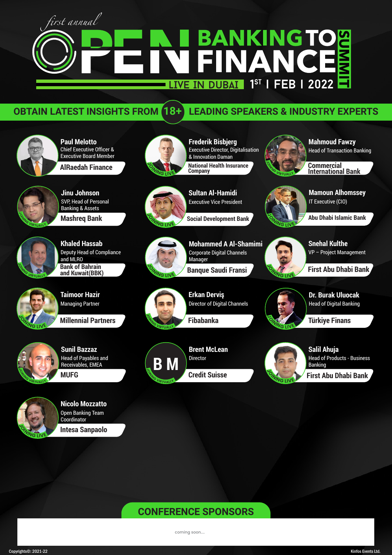# first annual **BANKINGTO<br>FINANCE** FIN LIVE IN DUBAI<sup>19T</sup> | FEB | 2022

## **OBTAIN LATEST INSIGHTS FROM 18+ LEADING SPEAKERS & INDUSTRY EXPERTS**

**Paul Melotto** Chief Executive Officer & Executive Board Member

**AlRaedah Finance**



**Jinu Johnson Mashreq Bank** SVP, Head of Personal Banking & Assets



**Khaled Hassab Bank of Bahrain and Kuwait(BBK)** Deputy Head of Compliance and MLRO



**Taimoor Hazir** Managing Partner

**Millennial Partners**



**Sunil Bazzaz MUFG** Head of Payables and Receivables, EMEA



**Nicolo Mozzatto** Open Banking Team **Coordinator** 

**Intesa Sanpaolo**



**Frederik Bisbjerg National Health Insurance Company** Executive Director, Digitalisation & Innovation Daman



**Sultan Al-Hamidi** Executive Vice President

**Social Development Bank**

**Mohammed A Al-Shamimi Banque Saudi Fransi**  Corporate Digital Channels Manager



**<sup>J</sup>O<sup>I</sup>NIN<sup>G</sup> <sup>L</sup>IV<sup>E</sup>**

**<sup>J</sup>O<sup>I</sup>N<sup>I</sup>N<sup>G</sup> <sup>V</sup>IRTUALL<sup>Y</sup>**

**Erkan Derviş** Director of Digital Channels

**Fibabanka**



**Brent McLean Credit Suisse** Director



 $\frac{1}{2}$ 

**<sup>J</sup>O<sup>I</sup>NIN<sup>G</sup> <sup>L</sup>IV<sup>E</sup>**

 $\frac{d}{dx}$ 

**<sup>J</sup>O<sup>I</sup>NIN<sup>G</sup> <sup>L</sup>IV<sup>E</sup>**

**Salil Ahuja First Abu Dhabi Bank** Head of Products - Business Banking

**Snehal Kulthe**

IT Executive (CIO)

**Mahmoud Fawzy**

Head of Transaction Banking

**Mamoun Alhomssey**

**Abu Dhabi Islamic Bank**

**Commercial International Bank**

**First Abu Dhabi Bank**

**Dr. Burak Uluocak**

Head of Digital Banking

**Türkiye Finans**

VP – Project Management

## **CONFERENCE SPONSORS**

coming soon....

Copyrights©: 2021-22 Kinfos Events Ltd.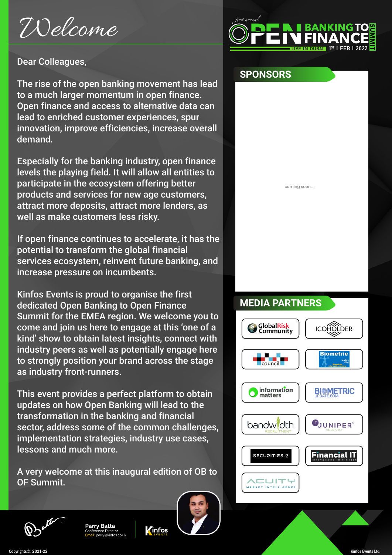# Welcome



## Dear Colleagues,

The rise of the open banking movement has lead to a much larger momentum in open finance. Open finance and access to alternative data can lead to enriched customer experiences, spur innovation, improve efficiencies, increase overall demand.

Especially for the banking industry, open finance levels the playing field. It will allow all entities to participate in the ecosystem offering better products and services for new age customers, attract more deposits, attract more lenders, as well as make customers less risky.

If open finance continues to accelerate, it has the potential to transform the global financial services ecosystem, reinvent future banking, and increase pressure on incumbents.

Kinfos Events is proud to organise the first dedicated Open Banking to Open Finance Summit for the EMEA region. We welcome you to come and join us here to engage at this 'one of a kind' show to obtain latest insights, connect with industry peers as well as potentially engage here to strongly position your brand across the stage as industry front-runners.

This event provides a perfect platform to obtain updates on how Open Banking will lead to the transformation in the banking and financial sector, address some of the common challenges, implementation strategies, industry use cases, lessons and much more.

A very welcome at this inaugural edition of OB to OF Summit.



## **SPONSORS**

coming soon....

# **MEDIA PARTNERS**





Kinfos